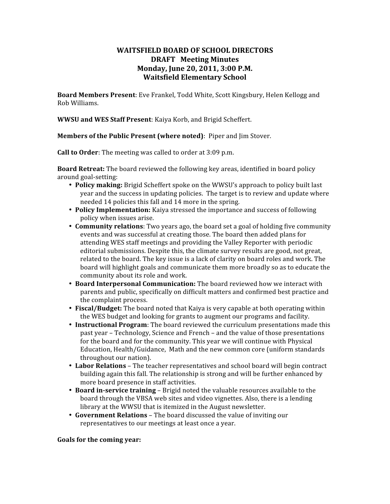# **WAITSFIELD BOARD OF SCHOOL DIRECTORS DRAFT Meeting Minutes Monday, June 20, 2011, 3:00 P.M. Waitsfield Elementary School**

**Board Members Present**: Eve Frankel, Todd White, Scott Kingsbury, Helen Kellogg and Rob Williams.

**WWSU and WES Staff Present**: Kaiya Korb, and Brigid Scheffert.

**Members of the Public Present (where noted)**: Piper and Jim Stover.

**Call to Order**: The meeting was called to order at 3:09 p.m.

**Board Retreat:** The board reviewed the following key areas, identified in board policy around goal‐setting:

- **Policy making:** Brigid Scheffert spoke on the WWSU's approach to policy built last year and the success in updating policies. The target is to review and update where needed 14 policies this fall and 14 more in the spring.
- **Policy Implementation:** Kaiya stressed the importance and success of following policy when issues arise.
- **Community relations**: Two years ago, the board set a goal of holding five community events and was successful at creating those. The board then added plans for attending WES staff meetings and providing the Valley Reporter with periodic editorial submissions. Despite this, the climate survey results are good, not great, related to the board. The key issue is a lack of clarity on board roles and work. The board will highlight goals and communicate them more broadly so as to educate the community about its role and work.
- **Board Interpersonal Communication:** The board reviewed how we interact with parents and public, specifically on difficult matters and confirmed best practice and the complaint process.
- **Fiscal/Budget:** The board noted that Kaiya is very capable at both operating within the WES budget and looking for grants to augment our programs and facility.
- **Instructional Program**: The board reviewed the curriculum presentations made this past year – Technology, Science and French – and the value of those presentations for the board and for the community. This year we will continue with Physical Education, Health/Guidance, Math and the new common core (uniform standards throughout our nation).
- **Labor Relations** The teacher representatives and school board will begin contract building again this fall. The relationship is strong and will be further enhanced by more board presence in staff activities.
- **Board in-service training** Brigid noted the valuable resources available to the board through the VBSA web sites and video vignettes. Also, there is a lending library at the WWSU that is itemized in the August newsletter.
- **Government Relations** The board discussed the value of inviting our representatives to our meetings at least once a year.

#### **Goals for the coming year:**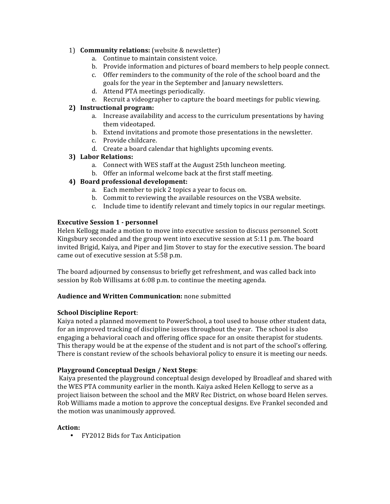## 1) **Community relations:** (website & newsletter)

- a. Continue to maintain consistent voice.
- b. Provide information and pictures of board members to help people connect.
- c. Offer reminders to the community of the role of the school board and the goals for the year in the September and January newsletters.
- d. Attend PTA meetings periodically.
- e. Recruit a videographer to capture the board meetings for public viewing.

# **2) Instructional program:**

- a. Increase availability and access to the curriculum presentations by having them videotaped.
- b. Extend invitations and promote those presentations in the newsletter.
- c. Provide childcare.
- d. Create a board calendar that highlights upcoming events.

## **3) Labor Relations:**

- a. Connect with WES staff at the August 25th luncheon meeting.
- b. Offer an informal welcome back at the first staff meeting.

# **4) Board professional development:**

- a. Each member to pick 2 topics a year to focus on.
- b. Commit to reviewing the available resources on the VSBA website.
- c. Include time to identify relevant and timely topics in our regular meetings.

# **Executive Session 1 - personnel**

Helen Kellogg made a motion to move into executive session to discuss personnel. Scott Kingsbury seconded and the group went into executive session at 5:11 p.m. The board invited Brigid, Kaiya, and Piper and Jim Stover to stay for the executive session. The board came out of executive session at 5:58 p.m.

The board adjourned by consensus to briefly get refreshment, and was called back into session by Rob Willisams at 6:08 p.m. to continue the meeting agenda.

## **Audience and Written Communication:** none submitted

## **School Discipline Report**:

Kaiya noted a planned movement to PowerSchool, a tool used to house other student data, for an improved tracking of discipline issues throughout the year. The school is also engaging a behavioral coach and offering office space for an onsite therapist for students. This therapy would be at the expense of the student and is not part of the school's offering. There is constant review of the schools behavioral policy to ensure it is meeting our needs.

## **Playground Conceptual Design / Next Steps**:

Kaiya presented the playground conceptual design developed by Broadleaf and shared with the WES PTA community earlier in the month. Kaiya asked Helen Kellogg to serve as a project liaison between the school and the MRV Rec District, on whose board Helen serves. Rob Williams made a motion to approve the conceptual designs. Eve Frankel seconded and the motion was unanimously approved.

## **Action:**

• FY2012 Bids for Tax Anticipation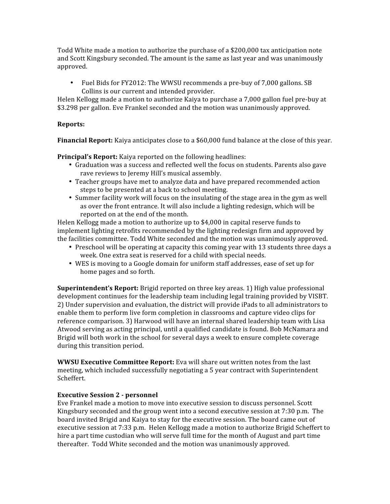Todd White made a motion to authorize the purchase of a \$200,000 tax anticipation note and Scott Kingsbury seconded. The amount is the same as last year and was unanimously approved.

• Fuel Bids for FY2012: The WWSU recommends a pre-buy of 7,000 gallons. SB Collins is our current and intended provider.

Helen Kellogg made a motion to authorize Kaiya to purchase a 7,000 gallon fuel pre‐buy at \$3.298 per gallon. Eve Frankel seconded and the motion was unanimously approved.

#### **Reports:**

**Financial Report:** Kaiya anticipates close to a \$60,000 fund balance at the close of this year.

**Principal's Report:** Kaiya reported on the following headlines:

- Graduation was a success and reflected well the focus on students. Parents also gave rave reviews to Jeremy Hill's musical assembly.
- Teacher groups have met to analyze data and have prepared recommended action steps to be presented at a back to school meeting.
- Summer facility work will focus on the insulating of the stage area in the gym as well as over the front entrance. It will also include a lighting redesign, which will be reported on at the end of the month.

Helen Kellogg made a motion to authorize up to \$4,000 in capital reserve funds to implement lighting retrofits recommended by the lighting redesign firm and approved by the facilities committee. Todd White seconded and the motion was unanimously approved.

- Preschool will be operating at capacity this coming year with 13 students three days a week. One extra seat is reserved for a child with special needs.
- WES is moving to a Google domain for uniform staff addresses, ease of set up for home pages and so forth.

**Superintendent's Report:** Brigid reported on three key areas. 1) High value professional development continues for the leadership team including legal training provided by VISBT. 2) Under supervision and evaluation, the district will provide iPads to all administrators to enable them to perform live form completion in classrooms and capture video clips for reference comparison. 3) Harwood will have an internal shared leadership team with Lisa Atwood serving as acting principal, until a qualified candidate is found. Bob McNamara and Brigid will both work in the school for several days a week to ensure complete coverage during this transition period.

**WWSU Executive Committee Report:** Eva will share out written notes from the last meeting, which included successfully negotiating a 5 year contract with Superintendent Scheffert.

#### **Executive Session 2 - personnel**

Eve Frankel made a motion to move into executive session to discuss personnel. Scott Kingsbury seconded and the group went into a second executive session at 7:30 p.m. The board invited Brigid and Kaiya to stay for the executive session. The board came out of executive session at 7:33 p.m. Helen Kellogg made a motion to authorize Brigid Scheffert to hire a part time custodian who will serve full time for the month of August and part time thereafter. Todd White seconded and the motion was unanimously approved.